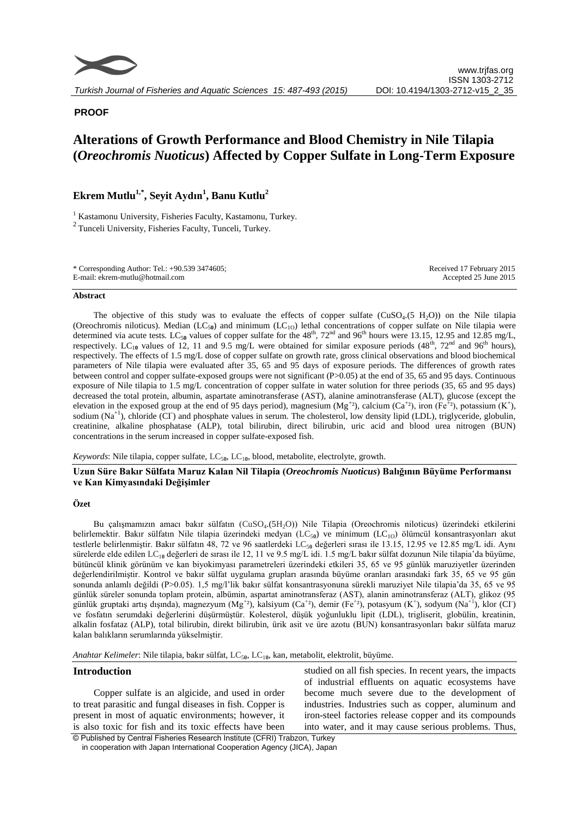

# **PROOF**

# **Alterations of Growth Performance and Blood Chemistry in Nile Tilapia (***Oreochromis Nuoticus***) Affected by Copper Sulfate in Long-Term Exposure**

# **Ekrem Mutlu1,\*, Seyit Aydın<sup>1</sup> , Banu Kutlu<sup>2</sup>**

<sup>1</sup> Kastamonu University, Fisheries Faculty, Kastamonu, Turkey.  $2$ Tunceli University, Fisheries Faculty, Tunceli, Turkey.

| * Corresponding Author: Tel.: $+90.5393474605$ ; | Received 17 February 2015 |
|--------------------------------------------------|---------------------------|
| E-mail: ekrem-mutlu@hotmail.com                  | Accepted 25 June 2015     |

#### **Abstract**

The objective of this study was to evaluate the effects of copper sulfate  $(CuSO<sub>4</sub>(5 H<sub>2</sub>O))$  on the Nile tilapia (Oreochromis niloticus). Median (LC<sub>50</sub>) and minimum (LC<sub>10</sub>) lethal concentrations of copper sulfate on Nile tilapia were determined via acute tests. LC<sub>50</sub> values of copper sulfate for the  $48<sup>th</sup>$ ,  $72<sup>nd</sup>$  and  $96<sup>th</sup>$  hours were 13.15, 12.95 and 12.85 mg/L, respectively. LC<sub>10</sub> values of 12, 11 and 9.5 mg/L were obtained for similar exposure periods  $(48<sup>th</sup>, 72<sup>nd</sup>$  and 96<sup>th</sup> hours), respectively. The effects of 1.5 mg/L dose of copper sulfate on growth rate, gross clinical observations and blood biochemical parameters of Nile tilapia were evaluated after 35, 65 and 95 days of exposure periods. The differences of growth rates between control and copper sulfate-exposed groups were not significant (P>0.05) at the end of 35, 65 and 95 days. Continuous exposure of Nile tilapia to 1.5 mg/L concentration of copper sulfate in water solution for three periods (35, 65 and 95 days) decreased the total protein, albumin, aspartate aminotransferase (AST), alanine aminotransferase (ALT), glucose (except the elevation in the exposed group at the end of 95 days period), magnesium ( $Mg^{+2}$ ), calcium (Ca<sup>+2</sup>), iron (Fe<sup>+2</sup>), potassium (K<sup>+</sup>), sodium  $(Na^{+1})$ , chloride  $(C\Gamma)$  and phosphate values in serum. The cholesterol, low density lipid (LDL), triglyceride, globulin, creatinine, alkaline phosphatase (ALP), total bilirubin, direct bilirubin, uric acid and blood urea nitrogen (BUN) concentrations in the serum increased in copper sulfate-exposed fish.

Keywords: Nile tilapia, copper sulfate, LC<sub>50</sub>, LC<sub>10</sub>, blood, metabolite, electrolyte, growth.

## **Uzun Süre Bakır Sülfata Maruz Kalan Nil Tilapia (***Oreochromis Nuoticus***) Balığının Büyüme Performansı ve Kan Kimyasındaki Değişimler**

#### **Özet**

Bu çalışmamızın amacı bakır sülfatın (CuSO<sub>4</sub>.(5H<sub>2</sub>O)) Nile Tilapia (Oreochromis niloticus) üzerindeki etkilerini belirlemektir. Bakır sülfatın Nile tilapia üzerindeki medyan (LC<sub>50</sub>) ve minimum (LC<sub>10</sub>) ölümcül konsantrasyonları akut testlerle belirlenmiştir. Bakır sülfatın 48, 72 ve 96 saatlerdeki LC<sub>50</sub> değerleri sırası ile 13.15, 12.95 ve 12.85 mg/L idi. Aynı sürelerde elde edilen LC<sub>10</sub> değerleri de sırası ile 12, 11 ve 9.5 mg/L idi. 1.5 mg/L bakır sülfat dozunun Nile tilapia'da büyüme, bütüncül klinik görünüm ve kan biyokimyası parametreleri üzerindeki etkileri 35, 65 ve 95 günlük maruziyetler üzerinden değerlendirilmiştir. Kontrol ve bakır sülfat uygulama grupları arasında büyüme oranları arasındaki fark 35, 65 ve 95 gün sonunda anlamlı değildi (P>0.05). 1,5 mg/l'lik bakır sülfat konsantrasyonuna sürekli maruziyet Nile tilapia'da 35, 65 ve 95 günlük süreler sonunda toplam protein, albümin, aspartat aminotransferaz (AST), alanin aminotransferaz (ALT), glikoz (95 günlük gruptaki artış dışında), magnezyum  $(Mg^{+2})$ , kalsiyum  $(Ca^{+2})$ , demir  $(Fe^{+2})$ , potasyum  $(K^{+})$ , sodyum  $(Na^{+1})$ , klor  $(C\Gamma)$ ve fosfatın serumdaki değerlerini düşürmüştür. Kolesterol, düşük yoğunluklu lipit (LDL), trigliserit, globülin, kreatinin, alkalin fosfataz (ALP), total bilirubin, direkt bilirubin, ürik asit ve üre azotu (BUN) konsantrasyonları bakır sülfata maruz kalan balıkların serumlarında yükselmiştir.

Anahtar Kelimeler: Nile tilapia, bakır sülfat, LC<sub>50</sub>, LC<sub>10</sub>, kan, metabolit, elektrolit, büyüme.

### **Introduction**

Copper sulfate is an algicide, and used in order to treat parasitic and fungal diseases in fish. Copper is present in most of aquatic environments; however, it is also toxic for fish and its toxic effects have been

studied on all fish species. In recent years, the impacts of industrial effluents on aquatic ecosystems have become much severe due to the development of industries. Industries such as copper, aluminum and iron-steel factories release copper and its compounds into water, and it may cause serious problems. Thus,

© Published by Central Fisheries Research Institute (CFRI) Trabzon, Turkey in cooperation with Japan International Cooperation Agency (JICA), Japan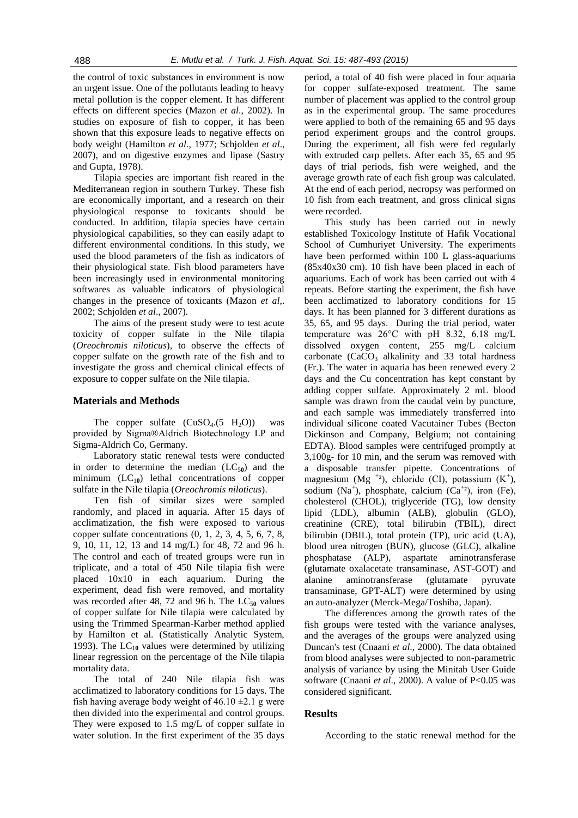the control of toxic substances in environment is now an urgent issue. One of the pollutants leading to heavy metal pollution is the copper element. It has different effects on different species (Mazon *et al*., 2002). In studies on exposure of fish to copper, it has been shown that this exposure leads to negative effects on body weight (Hamilton *et al*., 1977; Schjolden *et al*., 2007), and on digestive enzymes and lipase (Sastry and Gupta, 1978).

Tilapia species are important fish reared in the Mediterranean region in southern Turkey. These fish are economically important, and a research on their physiological response to toxicants should be conducted. In addition, tilapia species have certain physiological capabilities, so they can easily adapt to different environmental conditions. In this study, we used the blood parameters of the fish as indicators of their physiological state. Fish blood parameters have been increasingly used in environmental monitoring softwares as valuable indicators of physiological changes in the presence of toxicants (Mazon *et al*,. 2002; Schjolden *et al*., 2007).

The aims of the present study were to test acute toxicity of copper sulfate in the Nile tilapia (*Oreochromis niloticus*), to observe the effects of copper sulfate on the growth rate of the fish and to investigate the gross and chemical clinical effects of exposure to copper sulfate on the Nile tilapia.

# **Materials and Methods**

The copper sulfate  $(CuSO<sub>4</sub>(5 H<sub>2</sub>O))$  was provided by Sigma®Aldrich Biotechnology LP and Sigma-Aldrich Co, Germany.

Laboratory static renewal tests were conducted in order to determine the median  $(LC_{50})$  and the minimum  $(LC_{10})$  lethal concentrations of copper sulfate in the Nile tilapia (*Oreochromis niloticus*).

Ten fish of similar sizes were sampled randomly, and placed in aquaria. After 15 days of acclimatization, the fish were exposed to various copper sulfate concentrations (0, 1, 2, 3, 4, 5, 6, 7, 8, 9, 10, 11, 12, 13 and 14 mg/L) for 48, 72 and 96 h. The control and each of treated groups were run in triplicate, and a total of 450 Nile tilapia fish were placed 10x10 in each aquarium. During the experiment, dead fish were removed, and mortality was recorded after 48, 72 and 96 h. The  $LC_{50}$  values of copper sulfate for Nile tilapia were calculated by using the Trimmed Spearman-Karber method applied by Hamilton et al. (Statistically Analytic System, 1993). The  $LC_{10}$  values were determined by utilizing linear regression on the percentage of the Nile tilapia mortality data.

The total of 240 Nile tilapia fish was acclimatized to laboratory conditions for 15 days. The fish having average body weight of  $46.10 \pm 2.1$  g were then divided into the experimental and control groups. They were exposed to 1.5 mg/L of copper sulfate in water solution. In the first experiment of the 35 days

period, a total of 40 fish were placed in four aquaria for copper sulfate-exposed treatment. The same number of placement was applied to the control group as in the experimental group. The same procedures were applied to both of the remaining 65 and 95 days period experiment groups and the control groups. During the experiment, all fish were fed regularly with extruded carp pellets. After each 35, 65 and 95 days of trial periods, fish were weighed, and the average growth rate of each fish group was calculated. At the end of each period, necropsy was performed on 10 fish from each treatment, and gross clinical signs were recorded.

This study has been carried out in newly established Toxicology Institute of Hafik Vocational School of Cumhuriyet University. The experiments have been performed within 100 L glass-aquariums (85x40x30 cm). 10 fish have been placed in each of aquariums. Each of work has been carried out with 4 repeats. Before starting the experiment, the fish have been acclimatized to laboratory conditions for 15 days. It has been planned for 3 different durations as 35, 65, and 95 days. During the trial period, water temperature was 26°C with pH 8.32, 6.18 mg/L dissolved oxygen content, 255 mg/L calcium carbonate  $(CaCO<sub>3</sub>$  alkalinity and 33 total hardness (Fr.). The water in aquaria has been renewed every 2 days and the Cu concentration has kept constant by adding copper sulfate. Approximately 2 mL blood sample was drawn from the caudal vein by puncture, and each sample was immediately transferred into individual silicone coated Vacutainer Tubes (Becton Dickinson and Company, Belgium; not containing EDTA). Blood samples were centrifuged promptly at 3,100g- for 10 min, and the serum was removed with a disposable transfer pipette. Concentrations of magnesium (Mg<sup>+2</sup>), chloride (CI), potassium (K<sup>+</sup>), sodium (Na<sup>+</sup>), phosphate, calcium (Ca<sup>+2</sup>), iron (Fe), cholesterol (CHOL), triglyceride (TG), low density lipid (LDL), albumin (ALB), globulin (GLO), creatinine (CRE), total bilirubin (TBIL), direct bilirubin (DBIL), total protein (TP), uric acid (UA), blood urea nitrogen (BUN), glucose (GLC), alkaline phosphatase (ALP), aspartate aminotransferase (glutamate oxalacetate transaminase, AST-GOT) and alanine aminotransferase (glutamate pyruvate transaminase, GPT-ALT) were determined by using an auto-analyzer (Merck-Mega/Toshiba, Japan).

The differences among the growth rates of the fish groups were tested with the variance analyses, and the averages of the groups were analyzed using Duncan's test (Cnaani *et al*., 2000). The data obtained from blood analyses were subjected to non-parametric analysis of variance by using the Minitab User Guide software (Cnaani et al., 2000). A value of P<0.05 was considered significant.

#### **Results**

According to the static renewal method for the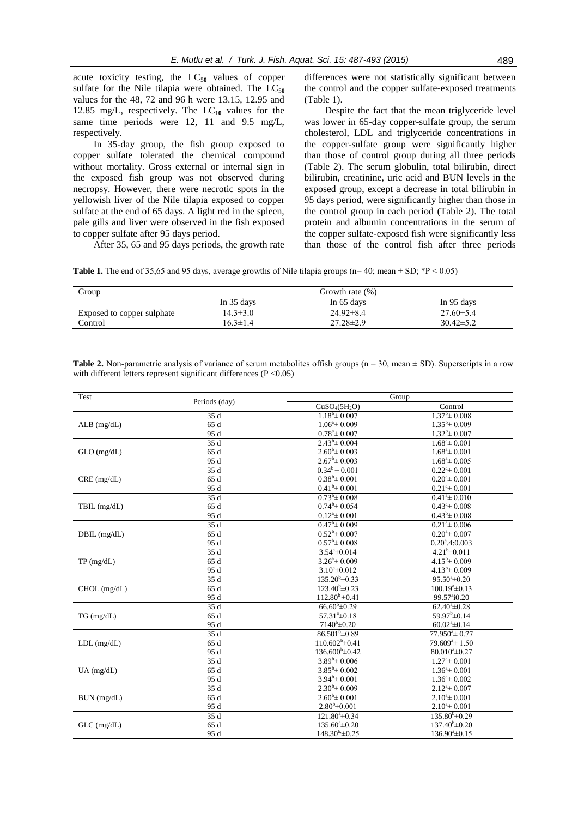acute toxicity testing, the  $LC_{50}$  values of copper sulfate for the Nile tilapia were obtained. The  $LC_{50}$ values for the 48, 72 and 96 h were 13.15, 12.95 and 12.85 mg/L, respectively. The  $LC_{10}$  values for the same time periods were 12, 11 and 9.5 mg/L, respectively.

In 35-day group, the fish group exposed to copper sulfate tolerated the chemical compound without mortality. Gross external or internal sign in the exposed fish group was not observed during necropsy. However, there were necrotic spots in the yellowish liver of the Nile tilapia exposed to copper sulfate at the end of 65 days. A light red in the spleen, pale gills and liver were observed in the fish exposed to copper sulfate after 95 days period.

After 35, 65 and 95 days periods, the growth rate

differences were not statistically significant between the control and the copper sulfate-exposed treatments (Table 1).

Despite the fact that the mean triglyceride level was lower in 65-day copper-sulfate group, the serum cholesterol, LDL and triglyceride concentrations in the copper-sulfate group were significantly higher than those of control group during all three periods (Table 2). The serum globulin, total bilirubin, direct bilirubin, creatinine, uric acid and BUN levels in the exposed group, except a decrease in total bilirubin in 95 days period, were significantly higher than those in the control group in each period (Table 2). The total protein and albumin concentrations in the serum of the copper sulfate-exposed fish were significantly less than those of the control fish after three periods

**Table 1.** The end of 35,65 and 95 days, average growths of Nile tilapia groups ( $n=40$ ; mean  $\pm$  SD;  $*P < 0.05$ )

| Group                      | Growth rate $(\%)$ |                 |                 |
|----------------------------|--------------------|-----------------|-----------------|
|                            | In 35 days         | In 65 days      | In 95 days      |
| Exposed to copper sulphate | $14.3 \pm 3.0$     | $24.92\pm8.4$   | $27.60 \pm 5.4$ |
| Control                    | $16.3 \pm 1.4$     | $27.28 \pm 2.9$ | $30.42 \pm 5.2$ |

**Table 2.** Non-parametric analysis of variance of serum metabolites offish groups ( $n = 30$ , mean  $\pm$  SD). Superscripts in a row with different letters represent significant differences (P < 0.05)

| Test           | Periods (day) | Group                                 |                               |
|----------------|---------------|---------------------------------------|-------------------------------|
|                |               | CuSO <sub>4</sub> (5H <sub>2</sub> O) | Control                       |
| $ALB$ (mg/dL)  | 35 d          | $1.18^{b} \pm 0.007$                  | $1.37^b \pm 0.008$            |
|                | 65 d          | $1.06^{\circ} \pm 0.009$              | $1.35^{\rm b} \pm 0.009$      |
|                | 95 d          | $0.78^{\mathrm{a}}\pm 0.007$          | $1.32^b \pm 0.007$            |
|                | 35 d          | $2.43^b \pm 0.004$                    | $1.68^{\mathrm{a}} \pm 0.001$ |
| $GLO$ (mg/dL)  | 65 d          | $2.60^{\rm b} \pm 0.003$              | $1.68^{\mathrm{a}} \pm 0.001$ |
|                | 95 d          | $2.67^b \pm 0.003$                    | $1.68^{\mathrm{a}} \pm 0.005$ |
| CRE (mg/dL)    | 35 d          | $0.34^b \pm 0.001$                    | $0.22^{\mathrm{a}} \pm 0.001$ |
|                | 65 d          | $0.38^b \pm 0.001$                    | $0.20^{\mathrm{a}} \pm 0.001$ |
|                | 95 d          | $0.41^b \pm 0.001$                    | $0.21^a \pm 0.001$            |
|                | 35 d          | $0.73^b \pm 0.008$                    | $0.41^a \pm 0.010$            |
| $TBL$ (mg/dL)  | 65 d          | $0.74^b \pm 0.054$                    | $0.43^{\circ} \pm 0.008$      |
|                | 95 d          | $0.12^{\mathrm{a}} \pm 0.001$         | $0.43^b \pm 0.008$            |
|                | 35d           | $0.47^b \pm 0.009$                    | $0.21^a \pm 0.006$            |
| $DBIL$ (mg/dL) | 65 d          | $0.52^b \pm 0.007$                    | $0.20^{\mathrm{a}} \pm 0.007$ |
|                | 95 d          | $0.57^b \pm 0.008$                    | $0.20^{\text{a}}.4:0.003$     |
|                | 35 d          | $3.54^{\circ} \pm 0.014$              | $4.21^{b} \pm 0.011$          |
| TP (mg/dL)     | 65 d          | $3.26^{\circ} \pm 0.009$              | $4.15^b \pm 0.009$            |
|                | 95 d          | $3.10^a \pm 0.012$                    | $4.13^b \pm 0.009$            |
| CHOL (mg/dL)   | 35 d          | $135.20^{\rm b} \pm 0.33$             | $95.50^a \pm 0.20$            |
|                | 65 d          | $123.40^{\rm b} \pm 0.23$             | $100.19^a \pm 0.13$           |
|                | 95 d          | $112.80^b \pm 0.41$                   | 99.57 <sup>a</sup> i0.20      |
| $TG$ (mg/dL)   | 35 d          | $66.60^{\rm b} \pm 0.29$              | $62.40^a \pm 0.28$            |
|                | 65 d          | $57.31^{\circ} \pm 0.18$              | $59.97^b \pm 0.14$            |
|                | 95 d          | $7140^{\rm b} \pm 0.20$               | $60.02^{\text{a}}\pm 0.14$    |
| $LDL$ (mg/dL)  | 35 d          | $86.501^{b} \pm 0.89$                 | $77.950^{\circ}$ ± 0.77       |
|                | 65 d          | $110.602^b \pm 0.41$                  | $79.609^{\circ}$ ± 1.50       |
|                | 95 d          | $136.600^{\mathrm{b}}\pm0.42$         | $80.010^4 \pm 0.27$           |
| $UA$ (mg/dL)   | 35 d          | $3.89^{\rm b} \pm 0.006$              | $1.27^{\mathrm{a}} \pm 0.001$ |
|                | 65 d          | $3.85^{\rm b} \pm 0.002$              | $1.36^{\circ} \pm 0.001$      |
|                | 95 d          | $3.94^b \pm 0.001$                    | $1.36^{\circ} \pm 0.002$      |
| BUN (mg/dL)    | 35 d          | $2.30^{\rm b} \pm 0.009$              | $2.12^{\mathrm{a}} \pm 0.007$ |
|                | 65 d          | $2.60^b \pm 0.001$                    | $2.10^{\circ} \pm 0.001$      |
|                | 95 d          | $2.80^{b} \pm 0.001$                  | $2.10^{\circ} \pm 0.001$      |
| GLC (mg/dL)    | 35 d          | $121.80^{\circ} \pm 0.34$             | $135.80^{b} \pm 0.29$         |
|                | 65 d          | $135.60^{\circ} \pm 0.20$             | $137.40^{\rm b} \pm 0.20$     |
|                | 95 d          | $148.30^{b} \pm 0.25$                 | $136.90^{\circ} \pm 0.15$     |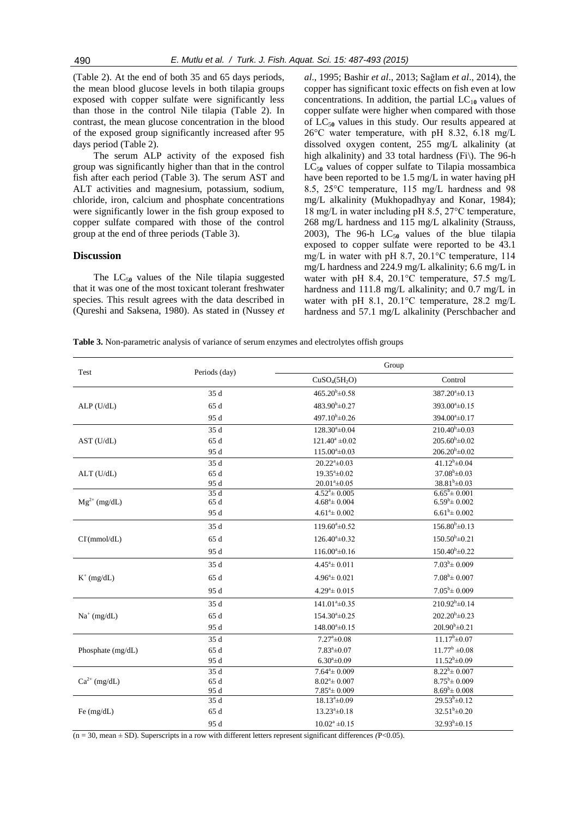(Table 2). At the end of both 35 and 65 days periods, the mean blood glucose levels in both tilapia groups exposed with copper sulfate were significantly less than those in the control Nile tilapia (Table 2). In contrast, the mean glucose concentration in the blood of the exposed group significantly increased after 95 days period (Table 2).

The serum ALP activity of the exposed fish group was significantly higher than that in the control fish after each period (Table 3). The serum AST and ALT activities and magnesium, potassium, sodium, chloride, iron, calcium and phosphate concentrations were significantly lower in the fish group exposed to copper sulfate compared with those of the control group at the end of three periods (Table 3).

#### **Discussion**

The  $LC_{50}$  values of the Nile tilapia suggested that it was one of the most toxicant tolerant freshwater species. This result agrees with the data described in (Qureshi and Saksena, 1980). As stated in (Nussey *et* 

*al*., 1995; Bashir *et al*., 2013; Sağlam *et al*., 2014), the copper has significant toxic effects on fish even at low concentrations. In addition, the partial  $LC_{10}$  values of copper sulfate were higher when compared with those of  $LC_{50}$  values in this study. Our results appeared at 26°C water temperature, with pH 8.32, 6.18 mg/L dissolved oxygen content, 255 mg/L alkalinity (at high alkalinity) and 33 total hardness (Fi\). The 96-h  $LC_{50}$  values of copper sulfate to Tilapia mossambica have been reported to be 1.5 mg/L in water having pH 8.5, 25°C temperature, 115 mg/L hardness and 98 mg/L alkalinity (Mukhopadhyay and Konar, 1984); 18 mg/L in water including pH 8.5, 27°C temperature, 268 mg/L hardness and 115 mg/L alkalinity (Strauss, 2003), The 96-h  $LC_{50}$  values of the blue tilapia exposed to copper sulfate were reported to be 43.1 mg/L in water with pH 8.7, 20.1°C temperature, 114 mg/L hardness and 224.9 mg/L alkalinity; 6.6 mg/L in water with pH 8.4, 20.1°C temperature, 57.5 mg/L hardness and 111.8 mg/L alkalinity; and 0.7 mg/L in water with pH 8.1, 20.1°C temperature, 28.2 mg/L hardness and 57.1 mg/L alkalinity (Perschbacher and

**Table 3.** Non-parametric analysis of variance of serum enzymes and electrolytes offish groups

| Test              | Periods (day) | Group                                 |                           |
|-------------------|---------------|---------------------------------------|---------------------------|
|                   |               | CuSO <sub>4</sub> (5H <sub>2</sub> O) | Control                   |
|                   | 35 d          | $465.20^{b} \pm 0.58$                 | $387.20^{\circ} \pm 0.13$ |
| $ALP$ (U/dL)      | 65 d          | $483.90^{\rm b} \pm 0.27$             | $393.00^a \pm 0.15$       |
|                   | 95 d          | 497.10 <sup>b</sup> $\pm$ 0.26        | $394.00^a \pm 0.17$       |
|                   | 35 d          | $128.30^a \pm 0.04$                   | $210.40^{\rm b} \pm 0.03$ |
| AST (U/dL)        | 65 d          | $121.40^a \pm 0.02$                   | $205.60^b \pm 0.02$       |
|                   | 95 d          | $115.00^{\circ} \pm 0.03$             | $206.20^{b} \pm 0.02$     |
|                   | 35 d          | $20.22^{\mathrm{a}}\pm0.03$           | $41.12^{b} \pm 0.04$      |
| ALT (U/dL)        | 65 d          | $19.35^{\mathrm{a}}\pm0.02$           | $37.08^{\rm b} \pm 0.03$  |
|                   | 95 d          | $20.01^a \pm 0.05$                    | $38.81^{b} \pm 0.03$      |
|                   | 35 d          | $4.52^{\mathrm{a}} \pm 0.005$         | $6.65^b \pm 0.001$        |
| $Mg^{2+}$ (mg/dL) | 65 d          | $4.68^{\mathrm{a}} \pm 0.004$         | $6.59^{\rm b} \pm 0.002$  |
|                   | 95 d          | $4.61^{\circ} \pm 0.002$              | $6.61^b \pm 0.002$        |
|                   | 35 d          | $119.60^{\circ} \pm 0.52$             | $156.80^{b} \pm 0.13$     |
| CI(rmmol/dL)      | 65 d          | $126.40^{\circ} \pm 0.32$             | $150.50^{\circ} \pm 0.21$ |
|                   | 95 d          | $116.00^{\circ}$ ±0.16                | $150.40^{b} \pm 0.22$     |
|                   | 35 d          | $4.45^{\circ} \pm 0.011$              | $7.03^b \pm 0.009$        |
| $K^+$ (mg/dL)     | 65 d          | $4.96^{\circ} \pm 0.021$              | $7.08^{\rm b} \pm 0.007$  |
|                   | 95 d          | $4.29^{\mathrm{a}} \pm 0.015$         | $7.05^{\rm b} \pm 0.009$  |
|                   | 35 d          | $141.01^a \pm 0.35$                   | $210.92^b \pm 0.14$       |
| $Na^+$ (mg/dL)    | 65 d          | $154.30^{\circ} \pm 0.25$             | $202.20^b \pm 0.23$       |
|                   | 95 d          | $148.00^{\circ}$ ±0.15                | $201.90^{\rm b} \pm 0.21$ |
|                   | 35 d          | $7.27^{\mathrm{a}}\pm0.08$            | $11.17^b \pm 0.07$        |
| Phosphate (mg/dL) | 65 d          | $7.83^{\circ}$ ±0.07                  | $11.77^b \pm 0.08$        |
|                   | 95 d          | $6.30^a \pm 0.09$                     | $11.52^b \pm 0.09$        |
|                   | 35 d          | $7.64^{\mathrm{a}} \pm 0.009$         | $8.22^b \pm 0.007$        |
| $Ca^{2+}$ (mg/dL) | 65 d          | $8.02^{\mathrm{a}} \pm 0.007$         | $8.75^b \pm 0.009$        |
|                   | 95 d          | $7.85^{\mathrm{a}}\pm 0.009$          | $8.69^b \pm 0.008$        |
|                   | 35 d          | $18.13^a \pm 0.09$                    | $29.53^b \pm 0.12$        |
| Fe $(mg/dL)$      | 65 d          | $13.23^a \pm 0.18$                    | $32.51^b \pm 0.20$        |
|                   | 95 d          | $10.02^a \pm 0.15$                    | $32.93^b \pm 0.15$        |

(n = 30, mean *±* SD). Superscripts in a row with different letters represent significant differences *(*P<0.05).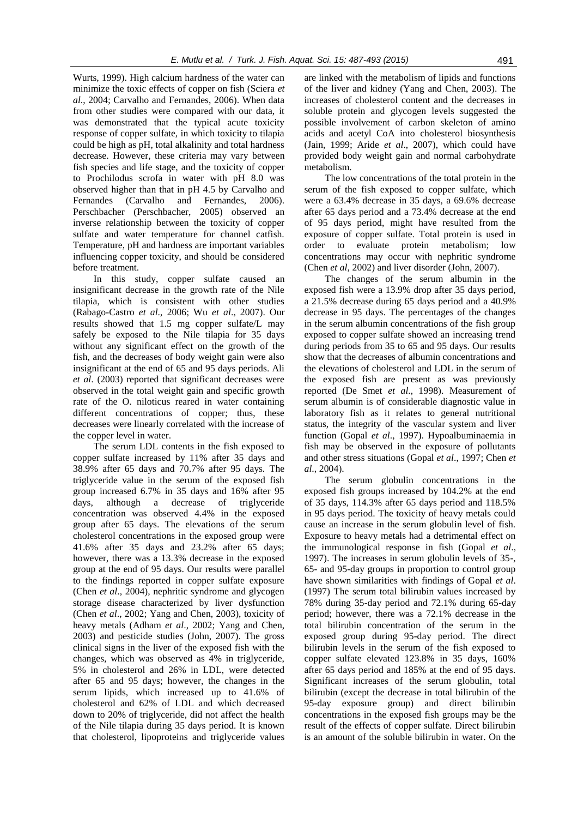Wurts, 1999). High calcium hardness of the water can minimize the toxic effects of copper on fish (Sciera *et al*., 2004; Carvalho and Fernandes, 2006). When data from other studies were compared with our data, it was demonstrated that the typical acute toxicity response of copper sulfate, in which toxicity to tilapia could be high as pH, total alkalinity and total hardness decrease. However, these criteria may vary between fish species and life stage, and the toxicity of copper to Prochilodus scrofa in water with pH 8.0 was observed higher than that in pH 4.5 by Carvalho and Fernandes (Carvalho and Fernandes, 2006). Perschbacher (Perschbacher, 2005) observed an inverse relationship between the toxicity of copper sulfate and water temperature for channel catfish. Temperature, pH and hardness are important variables influencing copper toxicity, and should be considered before treatment.

In this study, copper sulfate caused an insignificant decrease in the growth rate of the Nile tilapia, which is consistent with other studies (Rabago-Castro *et al*., 2006; Wu *et al*., 2007). Our results showed that 1.5 mg copper sulfate/L may safely be exposed to the Nile tilapia for 35 days without any significant effect on the growth of the fish, and the decreases of body weight gain were also insignificant at the end of 65 and 95 days periods. Ali *et al*. (2003) reported that significant decreases were observed in the total weight gain and specific growth rate of the O. niloticus reared in water containing different concentrations of copper; thus, these decreases were linearly correlated with the increase of the copper level in water.

The serum LDL contents in the fish exposed to copper sulfate increased by 11% after 35 days and 38.9% after 65 days and 70.7% after 95 days. The triglyceride value in the serum of the exposed fish group increased 6.7% in 35 days and 16% after 95 days, although a decrease of triglyceride concentration was observed 4.4% in the exposed group after 65 days. The elevations of the serum cholesterol concentrations in the exposed group were 41.6% after 35 days and 23.2% after 65 days; however, there was a 13.3% decrease in the exposed group at the end of 95 days. Our results were parallel to the findings reported in copper sulfate exposure (Chen *et al*., 2004), nephritic syndrome and glycogen storage disease characterized by liver dysfunction (Chen *et al*., 2002; Yang and Chen, 2003), toxicity of heavy metals (Adham *et al*., 2002; Yang and Chen, 2003) and pesticide studies (John, 2007). The gross clinical signs in the liver of the exposed fish with the changes, which was observed as 4% in triglyceride, 5% in cholesterol and 26% in LDL, were detected after 65 and 95 days; however, the changes in the serum lipids, which increased up to 41.6% of cholesterol and 62% of LDL and which decreased down to 20% of triglyceride, did not affect the health of the Nile tilapia during 35 days period. It is known that cholesterol, lipoproteins and triglyceride values are linked with the metabolism of lipids and functions of the liver and kidney (Yang and Chen, 2003). The increases of cholesterol content and the decreases in soluble protein and glycogen levels suggested the possible involvement of carbon skeleton of amino acids and acetyl CoA into cholesterol biosynthesis (Jain, 1999; Aride *et al*., 2007), which could have provided body weight gain and normal carbohydrate metabolism.

The low concentrations of the total protein in the serum of the fish exposed to copper sulfate, which were a 63.4% decrease in 35 days, a 69.6% decrease after 65 days period and a 73.4% decrease at the end of 95 days period, might have resulted from the exposure of copper sulfate. Total protein is used in order to evaluate protein metabolism; low concentrations may occur with nephritic syndrome (Chen *et al*, 2002) and liver disorder (John, 2007).

The changes of the serum albumin in the exposed fish were a 13.9% drop after 35 days period, a 21.5% decrease during 65 days period and a 40.9% decrease in 95 days. The percentages of the changes in the serum albumin concentrations of the fish group exposed to copper sulfate showed an increasing trend during periods from 35 to 65 and 95 days. Our results show that the decreases of albumin concentrations and the elevations of cholesterol and LDL in the serum of the exposed fish are present as was previously reported (De Smet *et al*., 1998). Measurement of serum albumin is of considerable diagnostic value in laboratory fish as it relates to general nutritional status, the integrity of the vascular system and liver function (Gopal *et al*., 1997). Hypoalbuminaemia in fish may be observed in the exposure of pollutants and other stress situations (Gopal *et al*., 1997; Chen *et al*., 2004).

The serum globulin concentrations in the exposed fish groups increased by 104.2% at the end of 35 days, 114.3% after 65 days period and 118.5% in 95 days period. The toxicity of heavy metals could cause an increase in the serum globulin level of fish. Exposure to heavy metals had a detrimental effect on the immunological response in fish (Gopal *et al*., 1997). The increases in serum globulin levels of 35-, 65- and 95-day groups in proportion to control group have shown similarities with findings of Gopal *et al*. (1997) The serum total bilirubin values increased by 78% during 35-day period and 72.1% during 65-day period; however, there was a 72.1% decrease in the total bilirubin concentration of the serum in the exposed group during 95-day period. The direct bilirubin levels in the serum of the fish exposed to copper sulfate elevated 123.8% in 35 days, 160% after 65 days period and 185% at the end of 95 days. Significant increases of the serum globulin, total bilirubin (except the decrease in total bilirubin of the 95-day exposure group) and direct bilirubin concentrations in the exposed fish groups may be the result of the effects of copper sulfate. Direct bilirubin is an amount of the soluble bilirubin in water. On the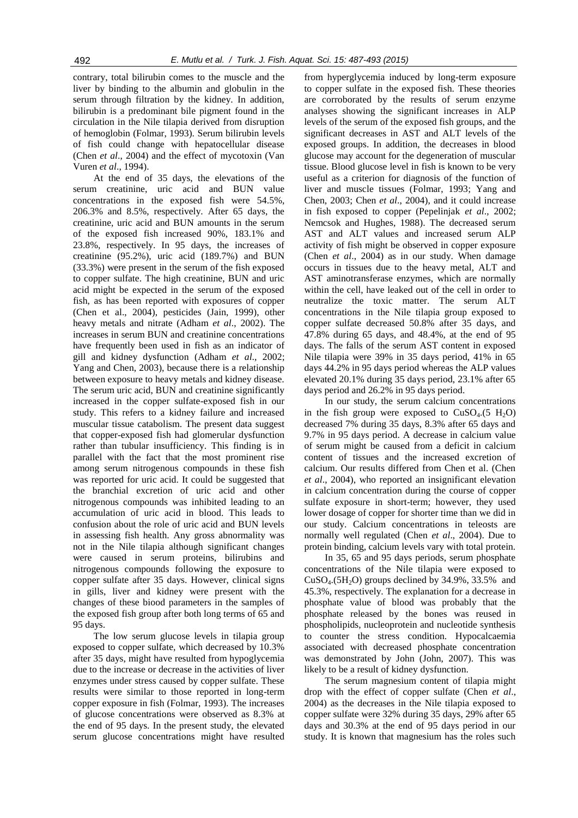contrary, total bilirubin comes to the muscle and the liver by binding to the albumin and globulin in the serum through filtration by the kidney. In addition, bilirubin is a predominant bile pigment found in the circulation in the Nile tilapia derived from disruption of hemoglobin (Folmar, 1993). Serum bilirubin levels of fish could change with hepatocellular disease (Chen *et al*., 2004) and the effect of mycotoxin (Van Vuren *et al*., 1994).

At the end of 35 days, the elevations of the serum creatinine, uric acid and BUN value concentrations in the exposed fish were 54.5%, 206.3% and 8.5%, respectively. After 65 days, the creatinine, uric acid and BUN amounts in the serum of the exposed fish increased 90%, 183.1% and 23.8%, respectively. In 95 days, the increases of creatinine (95.2%), uric acid (189.7%) and BUN (33.3%) were present in the serum of the fish exposed to copper sulfate. The high creatinine, BUN and uric acid might be expected in the serum of the exposed fish, as has been reported with exposures of copper (Chen et al., 2004), pesticides (Jain, 1999), other heavy metals and nitrate (Adham *et al*., 2002). The increases in serum BUN and creatinine concentrations have frequently been used in fish as an indicator of gill and kidney dysfunction (Adham *et al*., 2002; Yang and Chen, 2003), because there is a relationship between exposure to heavy metals and kidney disease. The serum uric acid, BUN and creatinine significantly increased in the copper sulfate-exposed fish in our study. This refers to a kidney failure and increased muscular tissue catabolism. The present data suggest that copper-exposed fish had glomerular dysfunction rather than tubular insufficiency. This finding is in parallel with the fact that the most prominent rise among serum nitrogenous compounds in these fish was reported for uric acid. It could be suggested that the branchial excretion of uric acid and other nitrogenous compounds was inhibited leading to an accumulation of uric acid in blood. This leads to confusion about the role of uric acid and BUN levels in assessing fish health. Any gross abnormality was not in the Nile tilapia although significant changes were caused in serum proteins, bilirubins and nitrogenous compounds following the exposure to copper sulfate after 35 days. However, clinical signs in gills, liver and kidney were present with the changes of these biood parameters in the samples of the exposed fish group after both long terms of 65 and 95 days.

The low serum glucose levels in tilapia group exposed to copper sulfate, which decreased by 10.3% after 35 days, might have resulted from hypoglycemia due to the increase or decrease in the activities of liver enzymes under stress caused by copper sulfate. These results were similar to those reported in long-term copper exposure in fish (Folmar, 1993). The increases of glucose concentrations were observed as 8.3% at the end of 95 days. In the present study, the elevated serum glucose concentrations might have resulted

from hyperglycemia induced by long-term exposure to copper sulfate in the exposed fish. These theories are corroborated by the results of serum enzyme analyses showing the significant increases in ALP levels of the serum of the exposed fish groups, and the significant decreases in AST and ALT levels of the exposed groups. In addition, the decreases in blood glucose may account for the degeneration of muscular tissue. Blood glucose level in fish is known to be very useful as a criterion for diagnosis of the function of liver and muscle tissues (Folmar, 1993; Yang and Chen, 2003; Chen *et al*., 2004), and it could increase in fish exposed to copper (Pepelinjak *et al*., 2002; Nemcsok and Hughes, 1988). The decreased serum AST and ALT values and increased serum ALP activity of fish might be observed in copper exposure (Chen *et al*., 2004) as in our study. When damage occurs in tissues due to the heavy metal, ALT and AST aminotransferase enzymes, which are normally within the cell, have leaked out of the cell in order to neutralize the toxic matter. The serum ALT concentrations in the Nile tilapia group exposed to copper sulfate decreased 50.8% after 35 days, and 47.8% during 65 days, and 48.4%, at the end of 95 days. The falls of the serum AST content in exposed Nile tilapia were 39% in 35 days period, 41% in 65 days 44.2% in 95 days period whereas the ALP values elevated 20.1% during 35 days period, 23.1% after 65 days period and 26.2% in 95 days period.

In our study, the serum calcium concentrations in the fish group were exposed to  $CuSO<sub>4</sub>(5 H<sub>2</sub>O)$ decreased 7% during 35 days, 8.3% after 65 days and 9.7% in 95 days period. A decrease in calcium value of serum might be caused from a deficit in calcium content of tissues and the increased excretion of calcium. Our results differed from Chen et al. (Chen *et al*., 2004), who reported an insignificant elevation in calcium concentration during the course of copper sulfate exposure in short-term; however, they used lower dosage of copper for shorter time than we did in our study. Calcium concentrations in teleosts are normally well regulated (Chen *et al*., 2004). Due to protein binding, calcium levels vary with total protein.

In 35, 65 and 95 days periods, serum phosphate concentrations of the Nile tilapia were exposed to  $CuSO<sub>4</sub>(5H<sub>2</sub>O)$  groups declined by 34.9%, 33.5% and 45.3%, respectively. The explanation for a decrease in phosphate value of blood was probably that the phosphate released by the bones was reused in phospholipids, nucleoprotein and nucleotide synthesis to counter the stress condition. Hypocalcaemia associated with decreased phosphate concentration was demonstrated by John (John, 2007). This was likely to be a result of kidney dysfunction.

The serum magnesium content of tilapia might drop with the effect of copper sulfate (Chen *et al*., 2004) as the decreases in the Nile tilapia exposed to copper sulfate were 32% during 35 days, 29% after 65 days and 30.3% at the end of 95 days period in our study. It is known that magnesium has the roles such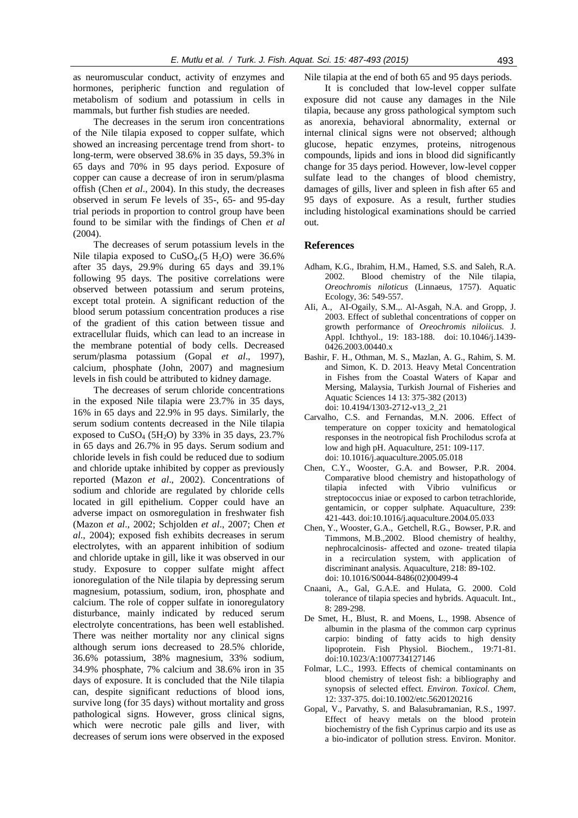as neuromuscular conduct, activity of enzymes and hormones, peripheric function and regulation of metabolism of sodium and potassium in cells in mammals, but further fish studies are needed.

The decreases in the serum iron concentrations of the Nile tilapia exposed to copper sulfate, which showed an increasing percentage trend from short- to long-term, were observed 38.6% in 35 days, 59.3% in 65 days and 70% in 95 days period. Exposure of copper can cause a decrease of iron in serum/plasma offish (Chen *et al*., 2004). In this study, the decreases observed in serum Fe levels of 35-, 65- and 95-day trial periods in proportion to control group have been found to be similar with the findings of Chen *et al* (2004).

The decreases of serum potassium levels in the Nile tilapia exposed to  $CuSO<sub>4</sub>(5 H<sub>2</sub>O)$  were 36.6% after 35 days, 29.9% during 65 days and 39.1% following 95 days. The positive correlations were observed between potassium and serum proteins, except total protein. A significant reduction of the blood serum potassium concentration produces a rise of the gradient of this cation between tissue and extracellular fluids, which can lead to an increase in the membrane potential of body cells. Decreased serum/plasma potassium (Gopal *et al*., 1997), calcium, phosphate (John, 2007) and magnesium levels in fish could be attributed to kidney damage.

The decreases of serum chloride concentrations in the exposed Nile tilapia were 23.7% in 35 days, 16% in 65 days and 22.9% in 95 days. Similarly, the serum sodium contents decreased in the Nile tilapia exposed to  $CuSO<sub>4</sub>$  (5H<sub>2</sub>O) by 33% in 35 days, 23.7% in 65 days and 26.7% in 95 days. Serum sodium and chloride levels in fish could be reduced due to sodium and chloride uptake inhibited by copper as previously reported (Mazon *et al*., 2002). Concentrations of sodium and chloride are regulated by chloride cells located in gill epithelium. Copper could have an adverse impact on osmoregulation in freshwater fish (Mazon *et al*., 2002; Schjolden *et al*., 2007; Chen *et al*., 2004); exposed fish exhibits decreases in serum electrolytes, with an apparent inhibition of sodium and chloride uptake in gill, like it was observed in our study. Exposure to copper sulfate might affect ionoregulation of the Nile tilapia by depressing serum magnesium, potassium, sodium, iron, phosphate and calcium. The role of copper sulfate in ionoregulatory disturbance, mainly indicated by reduced serum electrolyte concentrations, has been well established. There was neither mortality nor any clinical signs although serum ions decreased to 28.5% chloride, 36.6% potassium, 38% magnesium, 33% sodium, 34.9% phosphate, 7% calcium and 38.6% iron in 35 days of exposure. It is concluded that the Nile tilapia can, despite significant reductions of blood ions, survive long (for 35 days) without mortality and gross pathological signs. However, gross clinical signs, which were necrotic pale gills and liver, with decreases of serum ions were observed in the exposed Nile tilapia at the end of both 65 and 95 days periods.

It is concluded that low-level copper sulfate exposure did not cause any damages in the Nile tilapia, because any gross pathological symptom such as anorexia, behavioral abnormality, external or internal clinical signs were not observed; although glucose, hepatic enzymes, proteins, nitrogenous compounds, lipids and ions in blood did significantly change for 35 days period. However, low-level copper sulfate lead to the changes of blood chemistry, damages of gills, liver and spleen in fish after 65 and 95 days of exposure. As a result, further studies including histological examinations should be carried out.

#### **References**

- Adham, K.G., Ibrahim, H.M., Hamed, S.S. and Saleh, R.A. 2002. Blood chemistry of the Nile tilapia, *Oreochromis niloticus* (Linnaeus, 1757). Aquatic Ecology, 36: 549-557.
- AIi, A., AI-Ogaily, S.M.,. Al-Asgah, N.A. and Gropp, J. 2003. Effect of sublethal concentrations of copper on growth performance of *Oreochromis niloiicus.* J. Appl. Ichthyol., 19: 183-188. doi: 10.1046/j.1439- 0426.2003.00440.x
- Bashir, F. H., Othman, M. S., Mazlan, A. G., Rahim, S. M. and Simon, K. D. 2013. Heavy Metal Concentration in Fishes from the Coastal Waters of Kapar and Mersing, Malaysia, Turkish Journal of Fisheries and Aquatic Sciences 14 13: 375-382 (2013) doi: 10.4194/1303-2712-v13\_2\_21
- Carvalho, C.S. and Fernandas, M.N. 2006. Effect of temperature on copper toxicity and hematological responses in the neotropical fish Prochilodus scrofa at low and high pH. Aquaculture, 251: 109-117. doi: 10.1016/j.aquaculture.2005.05.018
- Chen, C.Y., Wooster, G.A. and Bowser, P.R. 2004. Comparative blood chemistry and histopathology of tilapia infected with Vibrio vulnificus or streptococcus iniae or exposed to carbon tetrachloride, gentamicin, or copper sulphate. Aquaculture, 239: 421-443. doi:10.1016/j.aquaculture.2004.05.033
- Chen, Y., Wooster, G.A., Getchell, R.G., Bowser, P.R. and Timmons, M.B.,2002. Blood chemistry of healthy, nephrocalcinosis- affected and ozone- treated tilapia in a recirculation system, with application of discriminant analysis. Aquaculture*,* 218: 89-102. doi: 10.1016/S0044-8486(02)00499-4
- Cnaani, A., Gal, G.A.E. and Hulata, G. 2000. Cold tolerance of tilapia species and hybrids. Aquacult. Int., 8: 289-298.
- De Smet, H., Blust, R. and Moens, L., 1998. Absence of albumin in the plasma of the common carp cyprinus carpio: binding of fatty acids to high density lipoprotein. Fish Physiol. Biochem.*,* 19:71-81. doi:10.1023/A:1007734127146
- Folmar, L.C., 1993. Effects of chemical contaminants on blood chemistry of teleost fish: a bibliography and synopsis of selected effect. *Environ. Toxicol. Chem*, 12: 337-375. doi:10.1002/etc.5620120216
- Gopal, V., Parvathy, S. and Balasubramanian, R.S., 1997. Effect of heavy metals on the blood protein biochemistry of the fish Cyprinus carpio and its use as a bio-indicator of pollution stress. Environ. Monitor.